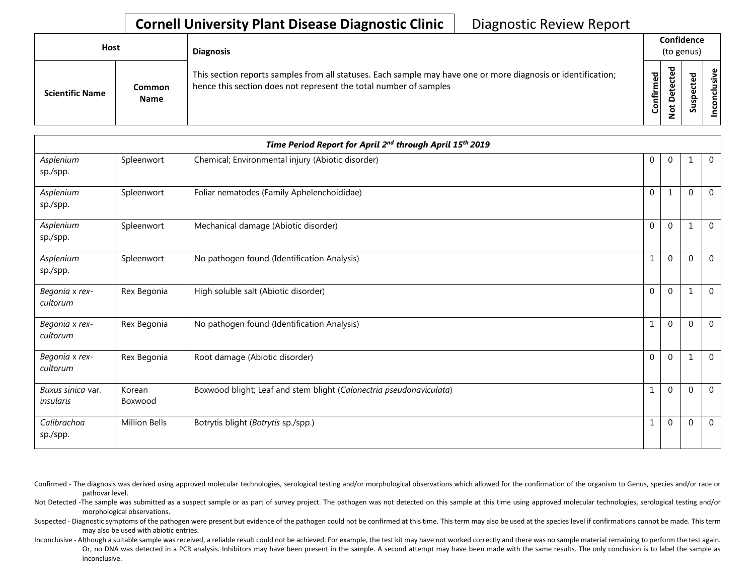## **Cornell University Plant Disease Diagnostic Clinic** | Diagnostic Review Report

| Host                   |                       | <b>Diagnosis</b>                                                                                                                                                                   |           | Confidence<br>(to genus) |   |                      |
|------------------------|-----------------------|------------------------------------------------------------------------------------------------------------------------------------------------------------------------------------|-----------|--------------------------|---|----------------------|
| <b>Scientific Name</b> | Common<br><b>Name</b> | This section reports samples from all statuses. Each sample may have one or more diagnosis or identification;<br>hence this section does not represent the total number of samples | Confirmed | ъ<br>۵<br>پ<br>ۊ         | ທ | ω<br>usiv<br>᠊ᠣ<br>ē |

|                                |                      | Time Period Report for April 2nd through April 15th 2019            |              |                |          |                |
|--------------------------------|----------------------|---------------------------------------------------------------------|--------------|----------------|----------|----------------|
| Asplenium<br>sp./spp.          | Spleenwort           | Chemical; Environmental injury (Abiotic disorder)                   | 0            | $\overline{0}$ |          | $\overline{0}$ |
| Asplenium<br>sp./spp.          | Spleenwort           | Foliar nematodes (Family Aphelenchoididae)                          | $\mathbf{0}$ | 1              | $\Omega$ | $\overline{0}$ |
| Asplenium<br>sp./spp.          | Spleenwort           | Mechanical damage (Abiotic disorder)                                | $\mathbf{0}$ | $\mathbf{0}$   |          | $\mathbf 0$    |
| Asplenium<br>sp./spp.          | Spleenwort           | No pathogen found (Identification Analysis)                         | 1            | $\mathbf{0}$   | $\Omega$ | $\overline{0}$ |
| Begonia x rex-<br>cultorum     | Rex Begonia          | High soluble salt (Abiotic disorder)                                | $\mathbf 0$  | $\mathbf{0}$   |          | $\mathbf 0$    |
| Begonia x rex-<br>cultorum     | Rex Begonia          | No pathogen found (Identification Analysis)                         | 1            | $\mathbf{0}$   | $\Omega$ | $\mathbf 0$    |
| Begonia x rex-<br>cultorum     | Rex Begonia          | Root damage (Abiotic disorder)                                      | $\mathbf{0}$ | $\mathbf{0}$   |          | $\mathbf{0}$   |
| Buxus sinica var.<br>insularis | Korean<br>Boxwood    | Boxwood blight; Leaf and stem blight (Calonectria pseudonaviculata) | 1            | $\mathbf 0$    | $\Omega$ | $\overline{0}$ |
| Calibrachoa<br>sp./spp.        | <b>Million Bells</b> | Botrytis blight (Botrytis sp./spp.)                                 |              | $\mathbf{0}$   | $\Omega$ | $\overline{0}$ |

Confirmed - The diagnosis was derived using approved molecular technologies, serological testing and/or morphological observations which allowed for the confirmation of the organism to Genus, species and/or race or pathovar level.

Not Detected -The sample was submitted as a suspect sample or as part of survey project. The pathogen was not detected on this sample at this time using approved molecular technologies, serological testing and/or morphological observations.

Suspected - Diagnostic symptoms of the pathogen were present but evidence of the pathogen could not be confirmed at this time. This term may also be used at the species level if confirmations cannot be made. This term may also be used with abiotic entries.

Inconclusive - Although a suitable sample was received, a reliable result could not be achieved. For example, the test kit may have not worked correctly and there was no sample material remaining to perform the test again. Or, no DNA was detected in a PCR analysis. Inhibitors may have been present in the sample. A second attempt may have been made with the same results. The only conclusion is to label the sample as inconclusive.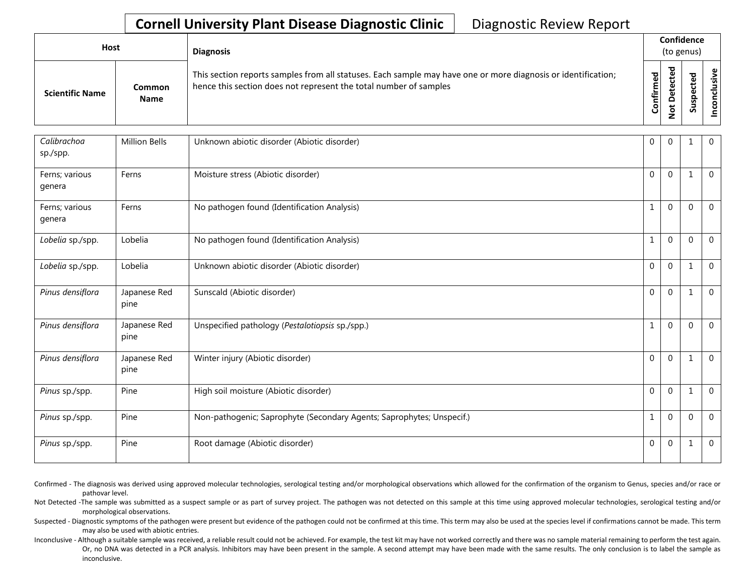## **Cornell University Plant Disease Diagnostic Clinic** | Diagnostic Review Report

| <b>Host</b>            |                       |                                                                                                                                                                                    |                   | <b>Diagnosis</b>                                       |             | Confidence<br>(to genus)    |  |  |  |
|------------------------|-----------------------|------------------------------------------------------------------------------------------------------------------------------------------------------------------------------------|-------------------|--------------------------------------------------------|-------------|-----------------------------|--|--|--|
| <b>Scientific Name</b> | Common<br><b>Name</b> | This section reports samples from all statuses. Each sample may have one or more diagnosis or identification;<br>hence this section does not represent the total number of samples | ਠ<br>o<br>Confirm | ᠊ᠣ<br>ω<br>ゼ<br>ω<br>ى<br>َف<br>≏<br>پ<br>$\circ$<br>- | ᇃ<br>S<br>Ō | $\mathbf \omega$<br>≤.<br>š |  |  |  |

| Calibrachoa<br>sp./spp.  | <b>Million Bells</b> | Unknown abiotic disorder (Abiotic disorder)                           | $\mathbf{0}$ | $\Omega$     | 1            | $\overline{0}$ |
|--------------------------|----------------------|-----------------------------------------------------------------------|--------------|--------------|--------------|----------------|
| Ferns; various<br>genera | Ferns                | Moisture stress (Abiotic disorder)                                    | $\Omega$     | $\mathbf{0}$ | $\mathbf{1}$ | $\overline{0}$ |
| Ferns; various<br>genera | Ferns                | No pathogen found (Identification Analysis)                           | 1            | $\Omega$     | $\Omega$     | $\mathbf{0}$   |
| Lobelia sp./spp.         | Lobelia              | No pathogen found (Identification Analysis)                           | $\mathbf{1}$ | $\mathbf 0$  | $\Omega$     | $\overline{0}$ |
| Lobelia sp./spp.         | Lobelia              | Unknown abiotic disorder (Abiotic disorder)                           | $\mathbf 0$  | $\mathbf 0$  | $\mathbf{1}$ | $\overline{0}$ |
| Pinus densiflora         | Japanese Red<br>pine | Sunscald (Abiotic disorder)                                           | $\Omega$     | $\mathbf{0}$ | $\mathbf{1}$ | $\mathbf 0$    |
| Pinus densiflora         | Japanese Red<br>pine | Unspecified pathology (Pestalotiopsis sp./spp.)                       | $\mathbf{1}$ | $\Omega$     | $\Omega$     | $\overline{0}$ |
| Pinus densiflora         | Japanese Red<br>pine | Winter injury (Abiotic disorder)                                      | $\Omega$     | $\Omega$     | -1           | $\overline{0}$ |
| Pinus sp./spp.           | Pine                 | High soil moisture (Abiotic disorder)                                 | $\mathbf 0$  | $\Omega$     |              | $\overline{0}$ |
| Pinus sp./spp.           | Pine                 | Non-pathogenic; Saprophyte (Secondary Agents; Saprophytes; Unspecif.) | 1            | $\Omega$     | $\Omega$     | $\Omega$       |
| Pinus sp./spp.           | Pine                 | Root damage (Abiotic disorder)                                        | $\mathbf{0}$ | $\mathbf{0}$ |              | $\overline{0}$ |

Confirmed - The diagnosis was derived using approved molecular technologies, serological testing and/or morphological observations which allowed for the confirmation of the organism to Genus, species and/or race or pathovar level.

Not Detected -The sample was submitted as a suspect sample or as part of survey project. The pathogen was not detected on this sample at this time using approved molecular technologies, serological testing and/or morphological observations.

Suspected - Diagnostic symptoms of the pathogen were present but evidence of the pathogen could not be confirmed at this time. This term may also be used at the species level if confirmations cannot be made. This term may also be used with abiotic entries.

Inconclusive - Although a suitable sample was received, a reliable result could not be achieved. For example, the test kit may have not worked correctly and there was no sample material remaining to perform the test again. Or, no DNA was detected in a PCR analysis. Inhibitors may have been present in the sample. A second attempt may have been made with the same results. The only conclusion is to label the sample as inconclusive.